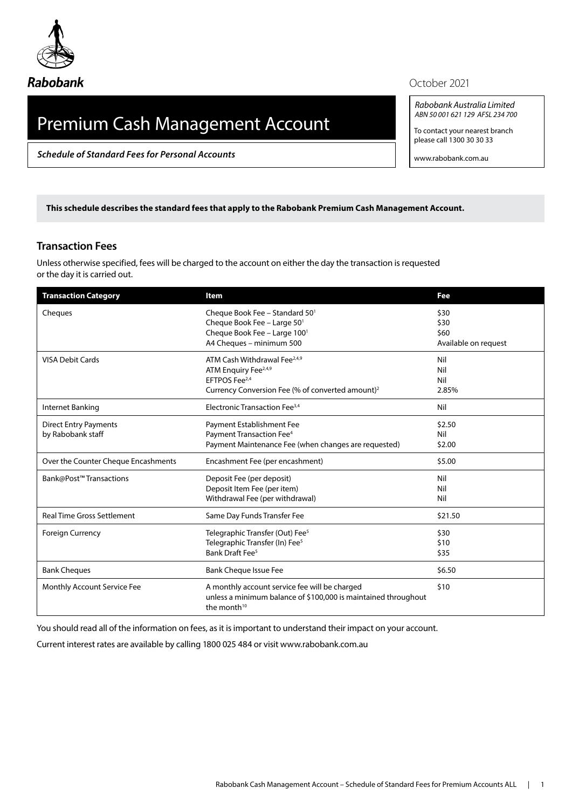

## Premium Cash Management Account

*Schedule of Standard Fees for Personal Accounts*

## October 2021

*Rabobank Australia Limited ABN 50 001 621 129 AFSL 234 700*

To contact your nearest branch please call 1300 30 30 33

www.rabobank.com.au

**This schedule describes the standard fees that apply to the Rabobank Premium Cash Management Account.** 

## **Transaction Fees**

Unless otherwise specified, fees will be charged to the account on either the day the transaction is requested or the day it is carried out.

| <b>Transaction Category</b>         | Item                                                                                                                              | Fee                  |
|-------------------------------------|-----------------------------------------------------------------------------------------------------------------------------------|----------------------|
| Cheques                             | Cheque Book Fee - Standard 50 <sup>1</sup>                                                                                        | \$30                 |
|                                     | Cheque Book Fee - Large 501                                                                                                       | \$30                 |
|                                     | Cheque Book Fee - Large 1001                                                                                                      | \$60                 |
|                                     | A4 Cheques - minimum 500                                                                                                          | Available on request |
| <b>VISA Debit Cards</b>             | ATM Cash Withdrawal Fee <sup>2,4,9</sup>                                                                                          | Nil                  |
|                                     | ATM Enquiry Fee <sup>2,4,9</sup>                                                                                                  | Nil                  |
|                                     | EFTPOS Fee <sup>2,4</sup>                                                                                                         | Nil                  |
|                                     | Currency Conversion Fee (% of converted amount) <sup>2</sup>                                                                      | 2.85%                |
| Internet Banking                    | Electronic Transaction Fee <sup>3,4</sup>                                                                                         | Nil                  |
| <b>Direct Entry Payments</b>        | Payment Establishment Fee                                                                                                         | \$2.50               |
| by Rabobank staff                   | Payment Transaction Fee <sup>4</sup>                                                                                              | Nil                  |
|                                     | Payment Maintenance Fee (when changes are requested)                                                                              | \$2.00               |
| Over the Counter Cheque Encashments | Encashment Fee (per encashment)                                                                                                   | \$5.00               |
| Bank@Post™Transactions              | Deposit Fee (per deposit)                                                                                                         | Nil                  |
|                                     | Deposit Item Fee (per item)                                                                                                       | Nil                  |
|                                     | Withdrawal Fee (per withdrawal)                                                                                                   | Nil                  |
| <b>Real Time Gross Settlement</b>   | Same Day Funds Transfer Fee                                                                                                       | \$21.50              |
| <b>Foreign Currency</b>             | Telegraphic Transfer (Out) Fee <sup>5</sup>                                                                                       | \$30                 |
|                                     | Telegraphic Transfer (In) Fee <sup>5</sup>                                                                                        | \$10                 |
|                                     | Bank Draft Fee <sup>5</sup>                                                                                                       | \$35                 |
| <b>Bank Cheques</b>                 | <b>Bank Cheque Issue Fee</b>                                                                                                      | \$6.50               |
| Monthly Account Service Fee         | A monthly account service fee will be charged<br>unless a minimum balance of \$100,000 is maintained throughout<br>the month $10$ | \$10                 |

You should read all of the information on fees, as it is important to understand their impact on your account.

Current interest rates are available by calling 1800 025 484 or visit [www.rabobank.com.au](http://www.rabobank.com.au)